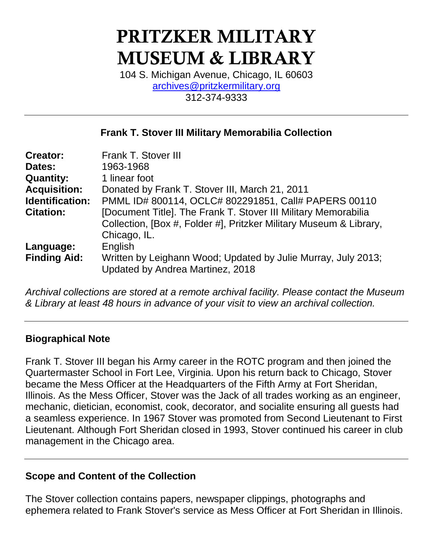# PRITZKER MILITARY MUSEUM & LIBRARY

104 S. Michigan Avenue, Chicago, IL 60603 [archives@pritzkermilitary.org](mailto:archives@pritzkermilitary.org) 312-374-9333

### **Frank T. Stover III Military Memorabilia Collection**

| <b>Creator:</b><br>Dates: | Frank T. Stover III<br>1963-1968                                                                                                                     |
|---------------------------|------------------------------------------------------------------------------------------------------------------------------------------------------|
| <b>Quantity:</b>          | 1 linear foot                                                                                                                                        |
| <b>Acquisition:</b>       | Donated by Frank T. Stover III, March 21, 2011                                                                                                       |
| <b>Identification:</b>    | PMML ID# 800114, OCLC# 802291851, Call# PAPERS 00110                                                                                                 |
| <b>Citation:</b>          | [Document Title]. The Frank T. Stover III Military Memorabilia<br>Collection, [Box #, Folder #], Pritzker Military Museum & Library,<br>Chicago, IL. |
| Language:                 | English                                                                                                                                              |
| <b>Finding Aid:</b>       | Written by Leighann Wood; Updated by Julie Murray, July 2013;<br>Updated by Andrea Martinez, 2018                                                    |

*Archival collections are stored at a remote archival facility. Please contact the Museum & Library at least 48 hours in advance of your visit to view an archival collection.*

#### **Biographical Note**

Frank T. Stover III began his Army career in the ROTC program and then joined the Quartermaster School in Fort Lee, Virginia. Upon his return back to Chicago, Stover became the Mess Officer at the Headquarters of the Fifth Army at Fort Sheridan, Illinois. As the Mess Officer, Stover was the Jack of all trades working as an engineer, mechanic, dietician, economist, cook, decorator, and socialite ensuring all guests had a seamless experience. In 1967 Stover was promoted from Second Lieutenant to First Lieutenant. Although Fort Sheridan closed in 1993, Stover continued his career in club management in the Chicago area.

#### **Scope and Content of the Collection**

The Stover collection contains papers, newspaper clippings, photographs and ephemera related to Frank Stover's service as Mess Officer at Fort Sheridan in Illinois.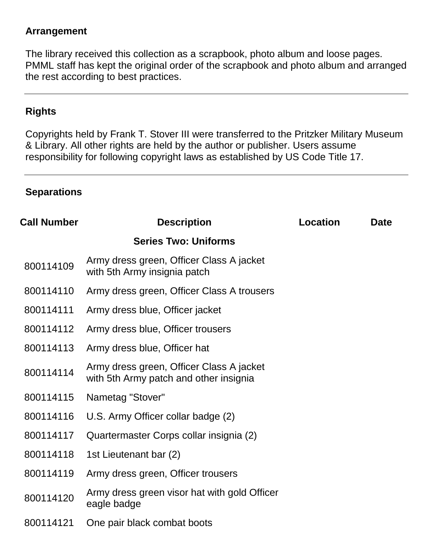#### **Arrangement**

The library received this collection as a scrapbook, photo album and loose pages. PMML staff has kept the original order of the scrapbook and photo album and arranged the rest according to best practices.

#### **Rights**

Copyrights held by Frank T. Stover III were transferred to the Pritzker Military Museum & Library. All other rights are held by the author or publisher. Users assume responsibility for following copyright laws as established by US Code Title 17.

#### **Separations**

| <b>Call Number</b> | <b>Description</b>                                                                 | <b>Location</b> | <b>Date</b> |
|--------------------|------------------------------------------------------------------------------------|-----------------|-------------|
|                    | <b>Series Two: Uniforms</b>                                                        |                 |             |
| 800114109          | Army dress green, Officer Class A jacket<br>with 5th Army insignia patch           |                 |             |
| 800114110          | Army dress green, Officer Class A trousers                                         |                 |             |
| 800114111          | Army dress blue, Officer jacket                                                    |                 |             |
| 800114112          | Army dress blue, Officer trousers                                                  |                 |             |
| 800114113          | Army dress blue, Officer hat                                                       |                 |             |
| 800114114          | Army dress green, Officer Class A jacket<br>with 5th Army patch and other insignia |                 |             |
| 800114115          | Nametag "Stover"                                                                   |                 |             |
| 800114116          | U.S. Army Officer collar badge (2)                                                 |                 |             |
| 800114117          | Quartermaster Corps collar insignia (2)                                            |                 |             |
| 800114118          | 1st Lieutenant bar (2)                                                             |                 |             |
| 800114119          | Army dress green, Officer trousers                                                 |                 |             |
| 800114120          | Army dress green visor hat with gold Officer<br>eagle badge                        |                 |             |
| 800114121          | One pair black combat boots                                                        |                 |             |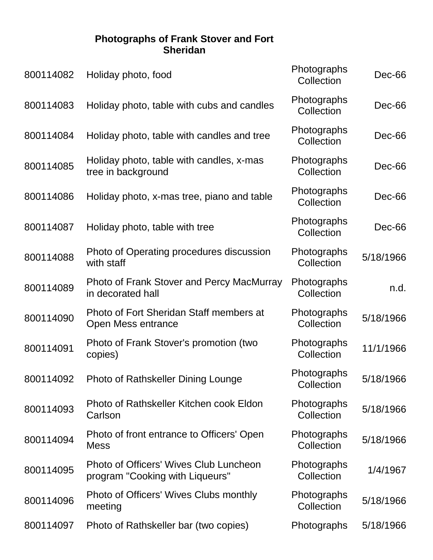#### **Photographs of Frank Stover and Fort Sheridan**

| 800114082 | Holiday photo, food                                                              | Photographs<br>Collection | Dec-66    |
|-----------|----------------------------------------------------------------------------------|---------------------------|-----------|
| 800114083 | Holiday photo, table with cubs and candles                                       | Photographs<br>Collection | Dec-66    |
| 800114084 | Holiday photo, table with candles and tree                                       | Photographs<br>Collection | Dec-66    |
| 800114085 | Holiday photo, table with candles, x-mas<br>tree in background                   | Photographs<br>Collection | Dec-66    |
| 800114086 | Holiday photo, x-mas tree, piano and table                                       | Photographs<br>Collection | Dec-66    |
| 800114087 | Holiday photo, table with tree                                                   | Photographs<br>Collection | Dec-66    |
| 800114088 | Photo of Operating procedures discussion<br>with staff                           | Photographs<br>Collection | 5/18/1966 |
| 800114089 | Photo of Frank Stover and Percy MacMurray<br>in decorated hall                   | Photographs<br>Collection | n.d.      |
| 800114090 | Photo of Fort Sheridan Staff members at<br>Open Mess entrance                    | Photographs<br>Collection | 5/18/1966 |
| 800114091 | Photo of Frank Stover's promotion (two<br>copies)                                | Photographs<br>Collection | 11/1/1966 |
| 800114092 | <b>Photo of Rathskeller Dining Lounge</b>                                        | Photographs<br>Collection | 5/18/1966 |
| 800114093 | Photo of Rathskeller Kitchen cook Eldon<br>Carlson                               | Photographs<br>Collection | 5/18/1966 |
| 800114094 | Photo of front entrance to Officers' Open<br><b>Mess</b>                         | Photographs<br>Collection | 5/18/1966 |
| 800114095 | <b>Photo of Officers' Wives Club Luncheon</b><br>program "Cooking with Liqueurs" | Photographs<br>Collection | 1/4/1967  |
| 800114096 | Photo of Officers' Wives Clubs monthly<br>meeting                                | Photographs<br>Collection | 5/18/1966 |
| 800114097 | Photo of Rathskeller bar (two copies)                                            | Photographs               | 5/18/1966 |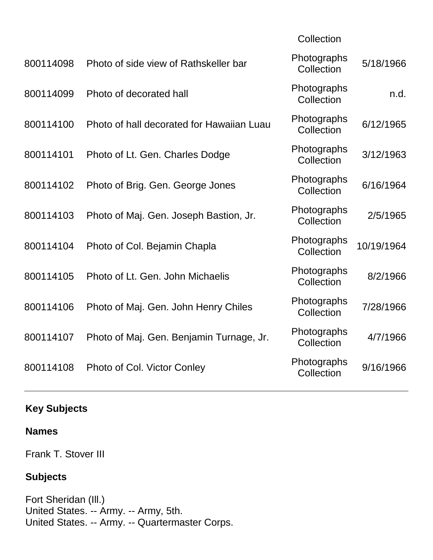| 800114098 | Photo of side view of Rathskeller bar     | Photographs<br>Collection | 5/18/1966  |
|-----------|-------------------------------------------|---------------------------|------------|
| 800114099 | Photo of decorated hall                   | Photographs<br>Collection | n.d.       |
| 800114100 | Photo of hall decorated for Hawaiian Luau | Photographs<br>Collection | 6/12/1965  |
| 800114101 | Photo of Lt. Gen. Charles Dodge           | Photographs<br>Collection | 3/12/1963  |
| 800114102 | Photo of Brig. Gen. George Jones          | Photographs<br>Collection | 6/16/1964  |
| 800114103 | Photo of Maj. Gen. Joseph Bastion, Jr.    | Photographs<br>Collection | 2/5/1965   |
| 800114104 | Photo of Col. Bejamin Chapla              | Photographs<br>Collection | 10/19/1964 |
| 800114105 | Photo of Lt. Gen. John Michaelis          | Photographs<br>Collection | 8/2/1966   |
| 800114106 | Photo of Maj. Gen. John Henry Chiles      | Photographs<br>Collection | 7/28/1966  |
| 800114107 | Photo of Maj. Gen. Benjamin Turnage, Jr.  | Photographs<br>Collection | 4/7/1966   |
| 800114108 | Photo of Col. Victor Conley               | Photographs<br>Collection | 9/16/1966  |
|           |                                           |                           |            |

**Collection** 

## **Key Subjects**

#### **Names**

Frank T. Stover III

## **Subjects**

Fort Sheridan (Ill.) United States. -- Army. -- Army, 5th. United States. -- Army. -- Quartermaster Corps.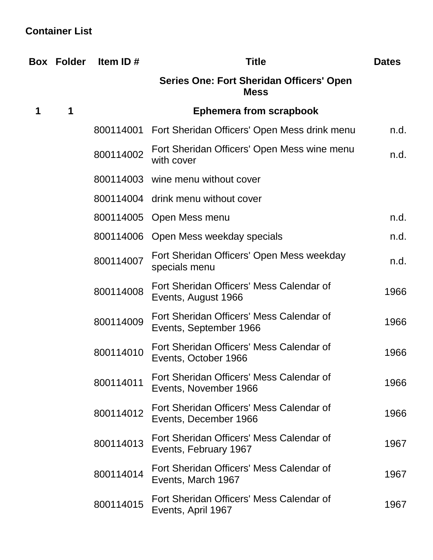## **Container List**

|   | <b>Box Folder</b> | Item ID#  | <b>Title</b>                                                       | <b>Dates</b> |
|---|-------------------|-----------|--------------------------------------------------------------------|--------------|
|   |                   |           | Series One: Fort Sheridan Officers' Open<br><b>Mess</b>            |              |
| 1 | 1                 |           | <b>Ephemera from scrapbook</b>                                     |              |
|   |                   |           | 800114001 Fort Sheridan Officers' Open Mess drink menu             | n.d.         |
|   |                   | 800114002 | Fort Sheridan Officers' Open Mess wine menu<br>with cover          | n.d.         |
|   |                   |           | 800114003 wine menu without cover                                  |              |
|   |                   |           | 800114004 drink menu without cover                                 |              |
|   |                   |           | 800114005 Open Mess menu                                           | n.d.         |
|   |                   |           | 800114006 Open Mess weekday specials                               | n.d.         |
|   |                   | 800114007 | Fort Sheridan Officers' Open Mess weekday<br>specials menu         | n.d.         |
|   |                   | 800114008 | Fort Sheridan Officers' Mess Calendar of<br>Events, August 1966    | 1966         |
|   |                   | 800114009 | Fort Sheridan Officers' Mess Calendar of<br>Events, September 1966 | 1966         |
|   |                   | 800114010 | Fort Sheridan Officers' Mess Calendar of<br>Events, October 1966   | 1966         |
|   |                   | 800114011 | Fort Sheridan Officers' Mess Calendar of<br>Events, November 1966  | 1966         |
|   |                   | 800114012 | Fort Sheridan Officers' Mess Calendar of<br>Events, December 1966  | 1966         |
|   |                   | 800114013 | Fort Sheridan Officers' Mess Calendar of<br>Events, February 1967  | 1967         |
|   |                   | 800114014 | Fort Sheridan Officers' Mess Calendar of<br>Events, March 1967     | 1967         |
|   |                   | 800114015 | Fort Sheridan Officers' Mess Calendar of<br>Events, April 1967     | 1967         |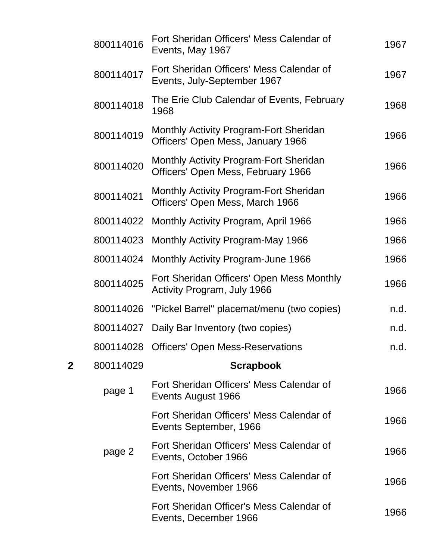|   | 800114016 | Fort Sheridan Officers' Mess Calendar of<br>Events, May 1967                        | 1967 |
|---|-----------|-------------------------------------------------------------------------------------|------|
|   | 800114017 | Fort Sheridan Officers' Mess Calendar of<br>Events, July-September 1967             | 1967 |
|   | 800114018 | The Erie Club Calendar of Events, February<br>1968                                  | 1968 |
|   | 800114019 | <b>Monthly Activity Program-Fort Sheridan</b><br>Officers' Open Mess, January 1966  | 1966 |
|   | 800114020 | <b>Monthly Activity Program-Fort Sheridan</b><br>Officers' Open Mess, February 1966 | 1966 |
|   | 800114021 | <b>Monthly Activity Program-Fort Sheridan</b><br>Officers' Open Mess, March 1966    | 1966 |
|   | 800114022 | Monthly Activity Program, April 1966                                                | 1966 |
|   | 800114023 | Monthly Activity Program-May 1966                                                   | 1966 |
|   | 800114024 | Monthly Activity Program-June 1966                                                  | 1966 |
|   | 800114025 | Fort Sheridan Officers' Open Mess Monthly<br>Activity Program, July 1966            | 1966 |
|   | 800114026 | "Pickel Barrel" placemat/menu (two copies)                                          | n.d. |
|   | 800114027 | Daily Bar Inventory (two copies)                                                    | n.d. |
|   | 800114028 | <b>Officers' Open Mess-Reservations</b>                                             | n.d. |
| 2 | 800114029 | <b>Scrapbook</b>                                                                    |      |
|   | page 1    | Fort Sheridan Officers' Mess Calendar of<br>Events August 1966                      | 1966 |
|   |           | Fort Sheridan Officers' Mess Calendar of<br>Events September, 1966                  | 1966 |
|   | page 2    | Fort Sheridan Officers' Mess Calendar of<br>Events, October 1966                    | 1966 |
|   |           | Fort Sheridan Officers' Mess Calendar of<br>Events, November 1966                   | 1966 |
|   |           | Fort Sheridan Officer's Mess Calendar of<br>Events, December 1966                   | 1966 |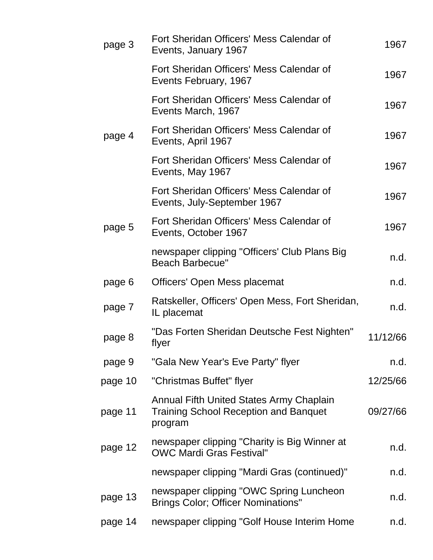| page 3  | Fort Sheridan Officers' Mess Calendar of<br>Events, January 1967                                    | 1967     |
|---------|-----------------------------------------------------------------------------------------------------|----------|
|         | Fort Sheridan Officers' Mess Calendar of<br>Events February, 1967                                   | 1967     |
|         | Fort Sheridan Officers' Mess Calendar of<br>Events March, 1967                                      | 1967     |
| page 4  | Fort Sheridan Officers' Mess Calendar of<br>Events, April 1967                                      | 1967     |
|         | Fort Sheridan Officers' Mess Calendar of<br>Events, May 1967                                        | 1967     |
|         | Fort Sheridan Officers' Mess Calendar of<br>Events, July-September 1967                             | 1967     |
| page 5  | Fort Sheridan Officers' Mess Calendar of<br>Events, October 1967                                    | 1967     |
|         | newspaper clipping "Officers' Club Plans Big<br><b>Beach Barbecue"</b>                              | n.d.     |
| page 6  | Officers' Open Mess placemat                                                                        | n.d.     |
| page 7  | Ratskeller, Officers' Open Mess, Fort Sheridan,<br>IL placemat                                      | n.d.     |
| page 8  | "Das Forten Sheridan Deutsche Fest Nighten"<br>flyer                                                | 11/12/66 |
| page 9  | "Gala New Year's Eve Party" flyer                                                                   | n.d.     |
| page 10 | "Christmas Buffet" flyer                                                                            | 12/25/66 |
| page 11 | Annual Fifth United States Army Chaplain<br><b>Training School Reception and Banquet</b><br>program | 09/27/66 |
| page 12 | newspaper clipping "Charity is Big Winner at<br><b>OWC Mardi Gras Festival"</b>                     | n.d.     |
|         | newspaper clipping "Mardi Gras (continued)"                                                         | n.d.     |
| page 13 | newspaper clipping "OWC Spring Luncheon<br><b>Brings Color; Officer Nominations"</b>                | n.d.     |
| page 14 | newspaper clipping "Golf House Interim Home                                                         | n.d.     |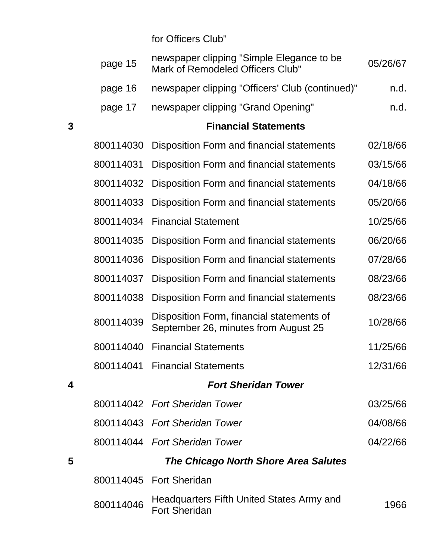for Officers Club"

|   | page 15   | newspaper clipping "Simple Elegance to be<br>Mark of Remodeled Officers Club"     | 05/26/67 |
|---|-----------|-----------------------------------------------------------------------------------|----------|
|   | page 16   | newspaper clipping "Officers' Club (continued)"                                   | n.d.     |
|   | page 17   | newspaper clipping "Grand Opening"                                                | n.d.     |
| 3 |           | <b>Financial Statements</b>                                                       |          |
|   | 800114030 | Disposition Form and financial statements                                         | 02/18/66 |
|   | 800114031 | Disposition Form and financial statements                                         | 03/15/66 |
|   | 800114032 | Disposition Form and financial statements                                         | 04/18/66 |
|   | 800114033 | Disposition Form and financial statements                                         | 05/20/66 |
|   | 800114034 | <b>Financial Statement</b>                                                        | 10/25/66 |
|   | 800114035 | Disposition Form and financial statements                                         | 06/20/66 |
|   | 800114036 | Disposition Form and financial statements                                         | 07/28/66 |
|   | 800114037 | Disposition Form and financial statements                                         | 08/23/66 |
|   | 800114038 | Disposition Form and financial statements                                         | 08/23/66 |
|   | 800114039 | Disposition Form, financial statements of<br>September 26, minutes from August 25 | 10/28/66 |
|   | 800114040 | <b>Financial Statements</b>                                                       | 11/25/66 |
|   | 800114041 | <b>Financial Statements</b>                                                       | 12/31/66 |
| 4 |           | <b>Fort Sheridan Tower</b>                                                        |          |
|   |           | 800114042 Fort Sheridan Tower                                                     | 03/25/66 |
|   |           | 800114043 Fort Sheridan Tower                                                     | 04/08/66 |
|   |           | 800114044 Fort Sheridan Tower                                                     | 04/22/66 |
| 5 |           | The Chicago North Shore Area Salutes                                              |          |
|   |           | 800114045 Fort Sheridan                                                           |          |
|   | 800114046 | Headquarters Fifth United States Army and<br><b>Fort Sheridan</b>                 | 1966     |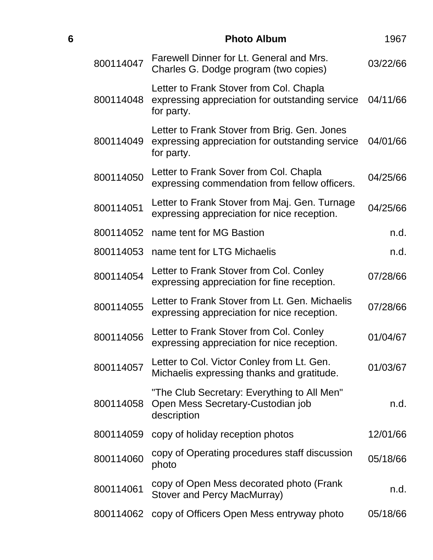| 6 |           | <b>Photo Album</b>                                                                                            | 1967     |
|---|-----------|---------------------------------------------------------------------------------------------------------------|----------|
|   | 800114047 | Farewell Dinner for Lt. General and Mrs.<br>Charles G. Dodge program (two copies)                             | 03/22/66 |
|   | 800114048 | Letter to Frank Stover from Col. Chapla<br>expressing appreciation for outstanding service<br>for party.      | 04/11/66 |
|   | 800114049 | Letter to Frank Stover from Brig. Gen. Jones<br>expressing appreciation for outstanding service<br>for party. | 04/01/66 |
|   | 800114050 | Letter to Frank Sover from Col. Chapla<br>expressing commendation from fellow officers.                       | 04/25/66 |
|   | 800114051 | Letter to Frank Stover from Maj. Gen. Turnage<br>expressing appreciation for nice reception.                  | 04/25/66 |
|   |           | 800114052 name tent for MG Bastion                                                                            | n.d.     |
|   | 800114053 | name tent for LTG Michaelis                                                                                   | n.d.     |
|   | 800114054 | Letter to Frank Stover from Col. Conley<br>expressing appreciation for fine reception.                        | 07/28/66 |
|   | 800114055 | Letter to Frank Stover from Lt. Gen. Michaelis<br>expressing appreciation for nice reception.                 | 07/28/66 |
|   | 800114056 | Letter to Frank Stover from Col. Conley<br>expressing appreciation for nice reception.                        | 01/04/67 |
|   | 800114057 | Letter to Col. Victor Conley from Lt. Gen.<br>Michaelis expressing thanks and gratitude.                      | 01/03/67 |
|   | 800114058 | "The Club Secretary: Everything to All Men"<br>Open Mess Secretary-Custodian job<br>description               | n.d.     |
|   | 800114059 | copy of holiday reception photos                                                                              | 12/01/66 |
|   | 800114060 | copy of Operating procedures staff discussion<br>photo                                                        | 05/18/66 |
|   | 800114061 | copy of Open Mess decorated photo (Frank<br>Stover and Percy MacMurray)                                       | n.d.     |
|   | 800114062 | copy of Officers Open Mess entryway photo                                                                     | 05/18/66 |